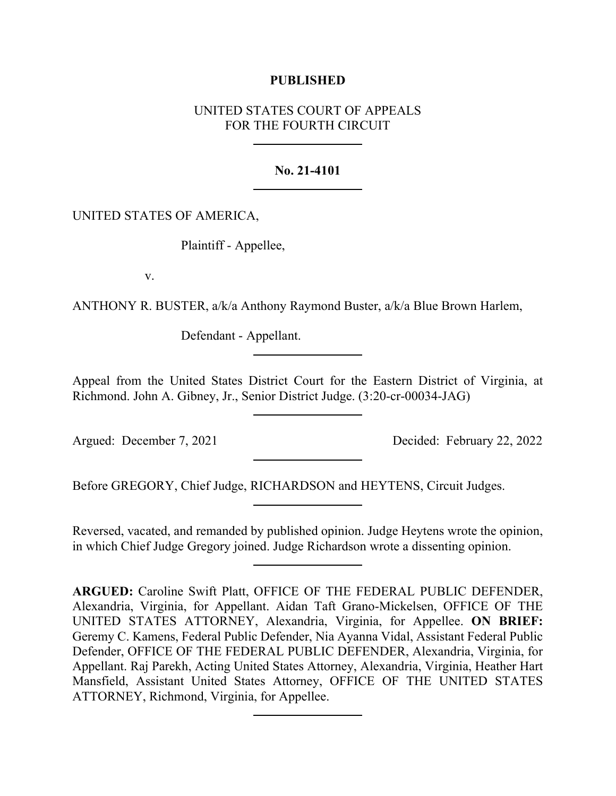# **PUBLISHED**

# UNITED STATES COURT OF APPEALS FOR THE FOURTH CIRCUIT

# **No. 21-4101**

# UNITED STATES OF AMERICA,

Plaintiff - Appellee,

v.

ANTHONY R. BUSTER, a/k/a Anthony Raymond Buster, a/k/a Blue Brown Harlem,

Defendant - Appellant.

Appeal from the United States District Court for the Eastern District of Virginia, at Richmond. John A. Gibney, Jr., Senior District Judge. (3:20-cr-00034-JAG)

Argued: December 7, 2021 Decided: February 22, 2022

Before GREGORY, Chief Judge, RICHARDSON and HEYTENS, Circuit Judges.

Reversed, vacated, and remanded by published opinion. Judge Heytens wrote the opinion, in which Chief Judge Gregory joined. Judge Richardson wrote a dissenting opinion.

**ARGUED:** Caroline Swift Platt, OFFICE OF THE FEDERAL PUBLIC DEFENDER, Alexandria, Virginia, for Appellant. Aidan Taft Grano-Mickelsen, OFFICE OF THE UNITED STATES ATTORNEY, Alexandria, Virginia, for Appellee. **ON BRIEF:**  Geremy C. Kamens, Federal Public Defender, Nia Ayanna Vidal, Assistant Federal Public Defender, OFFICE OF THE FEDERAL PUBLIC DEFENDER, Alexandria, Virginia, for Appellant. Raj Parekh, Acting United States Attorney, Alexandria, Virginia, Heather Hart Mansfield, Assistant United States Attorney, OFFICE OF THE UNITED STATES ATTORNEY, Richmond, Virginia, for Appellee.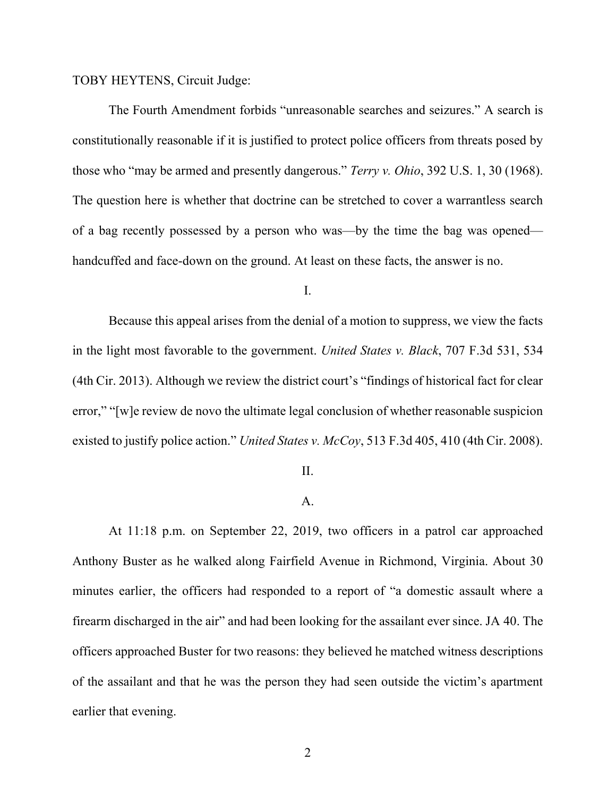TOBY HEYTENS, Circuit Judge:

The Fourth Amendment forbids "unreasonable searches and seizures." A search is constitutionally reasonable if it is justified to protect police officers from threats posed by those who "may be armed and presently dangerous." *Terry v. Ohio*, 392 U.S. 1, 30 (1968). The question here is whether that doctrine can be stretched to cover a warrantless search of a bag recently possessed by a person who was—by the time the bag was opened handcuffed and face-down on the ground. At least on these facts, the answer is no.

I.

Because this appeal arises from the denial of a motion to suppress, we view the facts in the light most favorable to the government. *United States v. Black*, 707 F.3d 531, 534 (4th Cir. 2013). Although we review the district court's "findings of historical fact for clear error," "[w]e review de novo the ultimate legal conclusion of whether reasonable suspicion existed to justify police action." *United States v. McCoy*, 513 F.3d 405, 410 (4th Cir. 2008).

#### II.

### A.

At 11:18 p.m. on September 22, 2019, two officers in a patrol car approached Anthony Buster as he walked along Fairfield Avenue in Richmond, Virginia. About 30 minutes earlier, the officers had responded to a report of "a domestic assault where a firearm discharged in the air" and had been looking for the assailant ever since. JA 40. The officers approached Buster for two reasons: they believed he matched witness descriptions of the assailant and that he was the person they had seen outside the victim's apartment earlier that evening.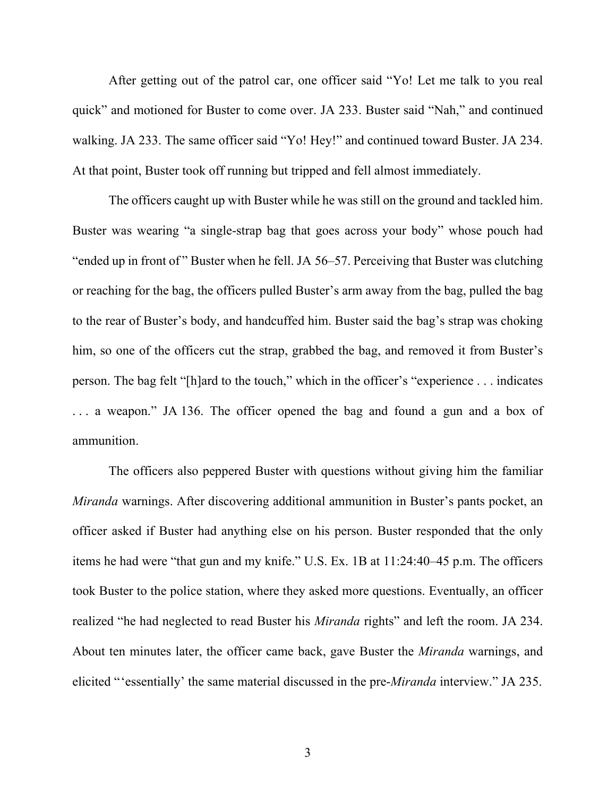After getting out of the patrol car, one officer said "Yo! Let me talk to you real quick" and motioned for Buster to come over. JA 233. Buster said "Nah," and continued walking. JA 233. The same officer said "Yo! Hey!" and continued toward Buster. JA 234. At that point, Buster took off running but tripped and fell almost immediately.

The officers caught up with Buster while he was still on the ground and tackled him. Buster was wearing "a single-strap bag that goes across your body" whose pouch had "ended up in front of" Buster when he fell. JA 56–57. Perceiving that Buster was clutching or reaching for the bag, the officers pulled Buster's arm away from the bag, pulled the bag to the rear of Buster's body, and handcuffed him. Buster said the bag's strap was choking him, so one of the officers cut the strap, grabbed the bag, and removed it from Buster's person. The bag felt "[h]ard to the touch," which in the officer's "experience . . . indicates . . . a weapon." JA 136. The officer opened the bag and found a gun and a box of ammunition.

The officers also peppered Buster with questions without giving him the familiar *Miranda* warnings. After discovering additional ammunition in Buster's pants pocket, an officer asked if Buster had anything else on his person. Buster responded that the only items he had were "that gun and my knife." U.S. Ex. 1B at 11:24:40–45 p.m. The officers took Buster to the police station, where they asked more questions. Eventually, an officer realized "he had neglected to read Buster his *Miranda* rights" and left the room. JA 234. About ten minutes later, the officer came back, gave Buster the *Miranda* warnings, and elicited "'essentially' the same material discussed in the pre-*Miranda* interview." JA 235.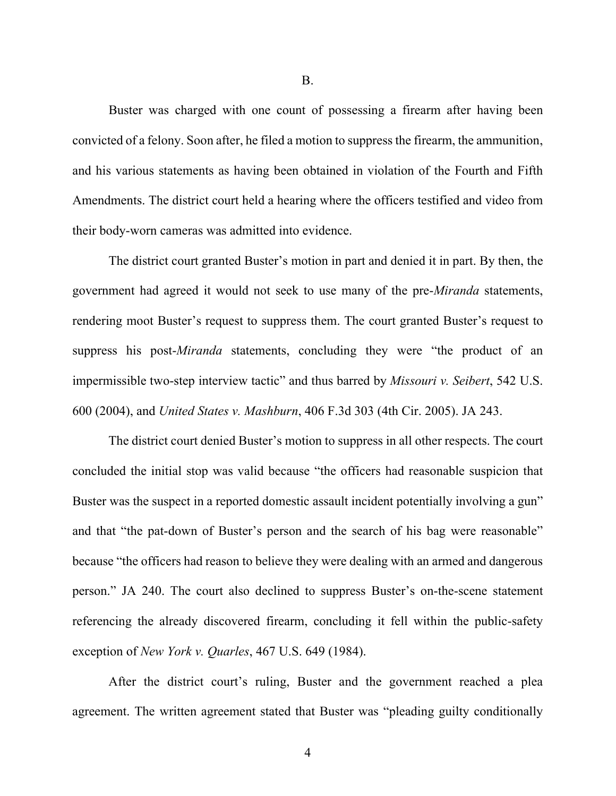B.

Buster was charged with one count of possessing a firearm after having been convicted of a felony. Soon after, he filed a motion to suppress the firearm, the ammunition, and his various statements as having been obtained in violation of the Fourth and Fifth Amendments. The district court held a hearing where the officers testified and video from their body-worn cameras was admitted into evidence.

The district court granted Buster's motion in part and denied it in part. By then, the government had agreed it would not seek to use many of the pre-*Miranda* statements, rendering moot Buster's request to suppress them. The court granted Buster's request to suppress his post-*Miranda* statements, concluding they were "the product of an impermissible two-step interview tactic" and thus barred by *Missouri v. Seibert*, 542 U.S. 600 (2004), and *United States v. Mashburn*, 406 F.3d 303 (4th Cir. 2005). JA 243.

The district court denied Buster's motion to suppress in all other respects. The court concluded the initial stop was valid because "the officers had reasonable suspicion that Buster was the suspect in a reported domestic assault incident potentially involving a gun" and that "the pat-down of Buster's person and the search of his bag were reasonable" because "the officers had reason to believe they were dealing with an armed and dangerous person." JA 240. The court also declined to suppress Buster's on-the-scene statement referencing the already discovered firearm, concluding it fell within the public-safety exception of *New York v. Quarles*, 467 U.S. 649 (1984).

After the district court's ruling, Buster and the government reached a plea agreement. The written agreement stated that Buster was "pleading guilty conditionally

4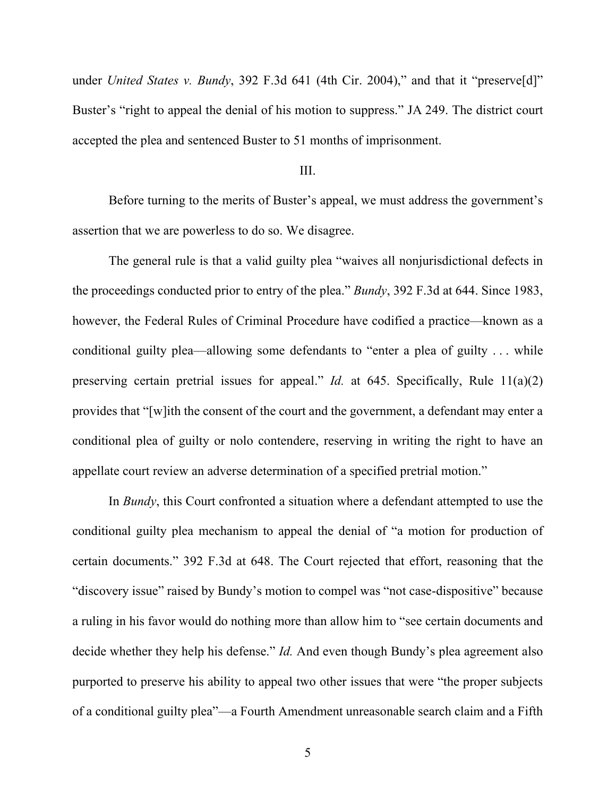under *United States v. Bundy*, 392 F.3d 641 (4th Cir. 2004)," and that it "preserve<sup>[d]"</sup> Buster's "right to appeal the denial of his motion to suppress." JA 249. The district court accepted the plea and sentenced Buster to 51 months of imprisonment.

### III.

Before turning to the merits of Buster's appeal, we must address the government's assertion that we are powerless to do so. We disagree.

The general rule is that a valid guilty plea "waives all nonjurisdictional defects in the proceedings conducted prior to entry of the plea." *Bundy*, 392 F.3d at 644. Since 1983, however, the Federal Rules of Criminal Procedure have codified a practice—known as a conditional guilty plea—allowing some defendants to "enter a plea of guilty . . . while preserving certain pretrial issues for appeal." *Id.* at 645. Specifically, Rule 11(a)(2) provides that "[w]ith the consent of the court and the government, a defendant may enter a conditional plea of guilty or nolo contendere, reserving in writing the right to have an appellate court review an adverse determination of a specified pretrial motion."

In *Bundy*, this Court confronted a situation where a defendant attempted to use the conditional guilty plea mechanism to appeal the denial of "a motion for production of certain documents." 392 F.3d at 648. The Court rejected that effort, reasoning that the "discovery issue" raised by Bundy's motion to compel was "not case-dispositive" because a ruling in his favor would do nothing more than allow him to "see certain documents and decide whether they help his defense." *Id.* And even though Bundy's plea agreement also purported to preserve his ability to appeal two other issues that were "the proper subjects of a conditional guilty plea"—a Fourth Amendment unreasonable search claim and a Fifth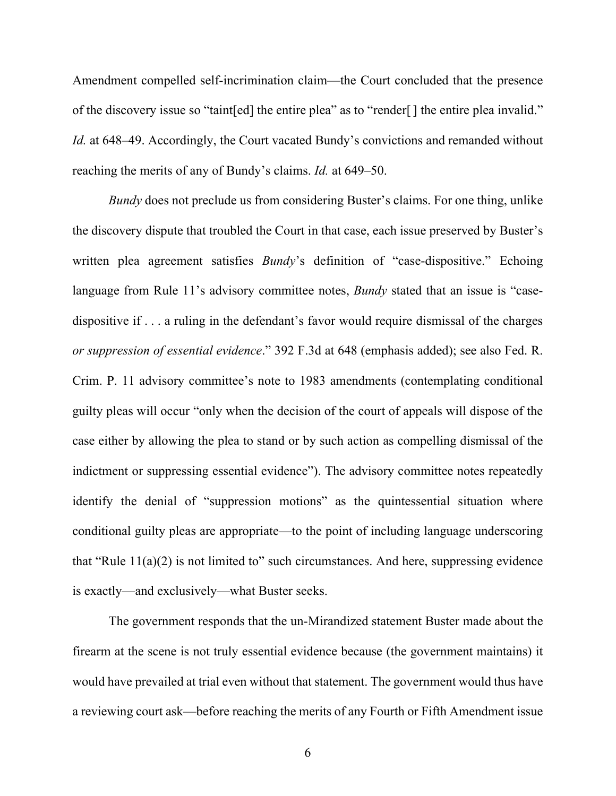Amendment compelled self-incrimination claim—the Court concluded that the presence of the discovery issue so "taint[ed] the entire plea" as to "render[] the entire plea invalid." *Id.* at 648–49. Accordingly, the Court vacated Bundy's convictions and remanded without reaching the merits of any of Bundy's claims. *Id.* at 649–50.

*Bundy* does not preclude us from considering Buster's claims. For one thing, unlike the discovery dispute that troubled the Court in that case, each issue preserved by Buster's written plea agreement satisfies *Bundy*'s definition of "case-dispositive." Echoing language from Rule 11's advisory committee notes, *Bundy* stated that an issue is "casedispositive if . . . a ruling in the defendant's favor would require dismissal of the charges *or suppression of essential evidence*." 392 F.3d at 648 (emphasis added); see also Fed. R. Crim. P. 11 advisory committee's note to 1983 amendments (contemplating conditional guilty pleas will occur "only when the decision of the court of appeals will dispose of the case either by allowing the plea to stand or by such action as compelling dismissal of the indictment or suppressing essential evidence"). The advisory committee notes repeatedly identify the denial of "suppression motions" as the quintessential situation where conditional guilty pleas are appropriate—to the point of including language underscoring that "Rule  $11(a)(2)$  is not limited to" such circumstances. And here, suppressing evidence is exactly—and exclusively—what Buster seeks.

The government responds that the un-Mirandized statement Buster made about the firearm at the scene is not truly essential evidence because (the government maintains) it would have prevailed at trial even without that statement. The government would thus have a reviewing court ask—before reaching the merits of any Fourth or Fifth Amendment issue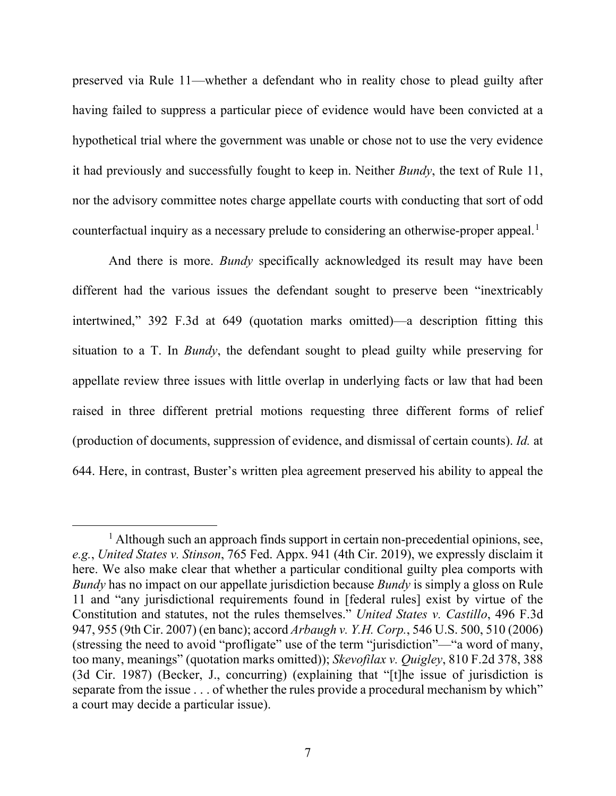preserved via Rule 11—whether a defendant who in reality chose to plead guilty after having failed to suppress a particular piece of evidence would have been convicted at a hypothetical trial where the government was unable or chose not to use the very evidence it had previously and successfully fought to keep in. Neither *Bundy*, the text of Rule 11, nor the advisory committee notes charge appellate courts with conducting that sort of odd counterfactual inquiry as a necessary prelude to considering an otherwise-proper appeal.<sup>[1](#page-6-0)</sup>

And there is more. *Bundy* specifically acknowledged its result may have been different had the various issues the defendant sought to preserve been "inextricably intertwined," 392 F.3d at 649 (quotation marks omitted)—a description fitting this situation to a T. In *Bundy*, the defendant sought to plead guilty while preserving for appellate review three issues with little overlap in underlying facts or law that had been raised in three different pretrial motions requesting three different forms of relief (production of documents, suppression of evidence, and dismissal of certain counts). *Id.* at 644. Here, in contrast, Buster's written plea agreement preserved his ability to appeal the

<span id="page-6-0"></span><sup>&</sup>lt;sup>1</sup> Although such an approach finds support in certain non-precedential opinions, see, *e.g.*, *United States v. Stinson*, 765 Fed. Appx. 941 (4th Cir. 2019), we expressly disclaim it here. We also make clear that whether a particular conditional guilty plea comports with *Bundy* has no impact on our appellate jurisdiction because *Bundy* is simply a gloss on Rule 11 and "any jurisdictional requirements found in [federal rules] exist by virtue of the Constitution and statutes, not the rules themselves." *United States v. Castillo*, 496 F.3d 947, 955 (9th Cir. 2007) (en banc); accord *Arbaugh v. Y.H. Corp.*, 546 U.S. 500, 510 (2006) (stressing the need to avoid "profligate" use of the term "jurisdiction"—"a word of many, too many, meanings" (quotation marks omitted)); *Skevofilax v. Quigley*, 810 F.2d 378, 388 (3d Cir. 1987) (Becker, J., concurring) (explaining that "[t]he issue of jurisdiction is separate from the issue . . . of whether the rules provide a procedural mechanism by which" a court may decide a particular issue).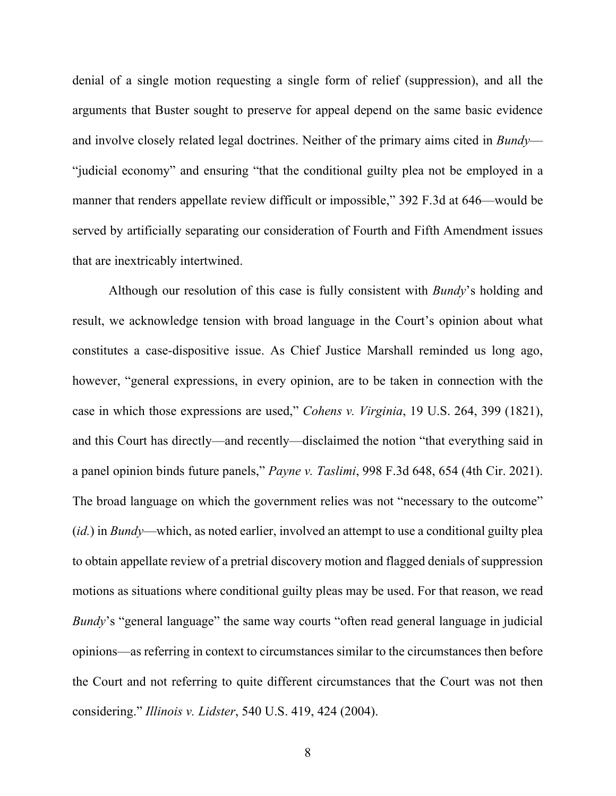denial of a single motion requesting a single form of relief (suppression), and all the arguments that Buster sought to preserve for appeal depend on the same basic evidence and involve closely related legal doctrines. Neither of the primary aims cited in *Bundy*— "judicial economy" and ensuring "that the conditional guilty plea not be employed in a manner that renders appellate review difficult or impossible," 392 F.3d at 646—would be served by artificially separating our consideration of Fourth and Fifth Amendment issues that are inextricably intertwined.

Although our resolution of this case is fully consistent with *Bundy*'s holding and result, we acknowledge tension with broad language in the Court's opinion about what constitutes a case-dispositive issue. As Chief Justice Marshall reminded us long ago, however, "general expressions, in every opinion, are to be taken in connection with the case in which those expressions are used," *Cohens v. Virginia*, 19 U.S. 264, 399 (1821), and this Court has directly—and recently—disclaimed the notion "that everything said in a panel opinion binds future panels," *Payne v. Taslimi*, 998 F.3d 648, 654 (4th Cir. 2021). The broad language on which the government relies was not "necessary to the outcome" (*id.*) in *Bundy*—which, as noted earlier, involved an attempt to use a conditional guilty plea to obtain appellate review of a pretrial discovery motion and flagged denials of suppression motions as situations where conditional guilty pleas may be used. For that reason, we read *Bundy*'s "general language" the same way courts "often read general language in judicial opinions—as referring in context to circumstances similar to the circumstances then before the Court and not referring to quite different circumstances that the Court was not then considering." *Illinois v. Lidster*, 540 U.S. 419, 424 (2004).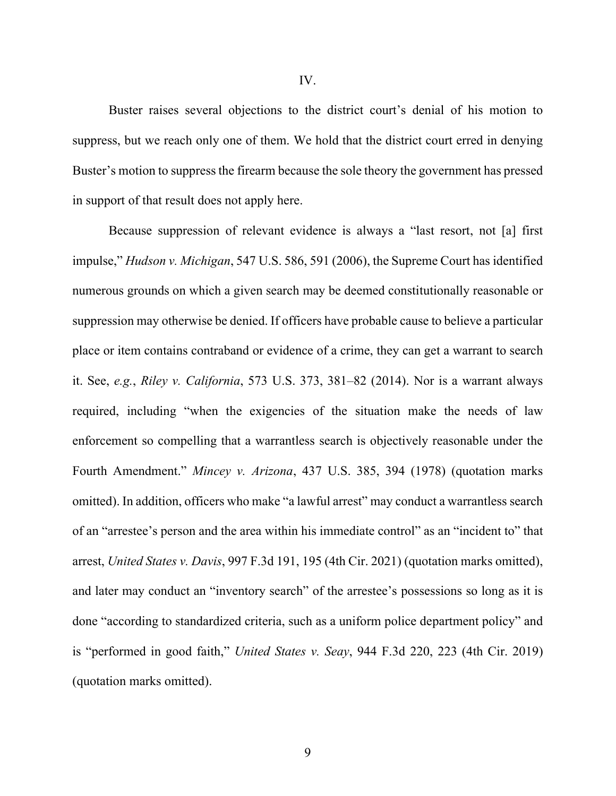Buster raises several objections to the district court's denial of his motion to suppress, but we reach only one of them. We hold that the district court erred in denying Buster's motion to suppress the firearm because the sole theory the government has pressed in support of that result does not apply here.

Because suppression of relevant evidence is always a "last resort, not [a] first impulse," *Hudson v. Michigan*, 547 U.S. 586, 591 (2006), the Supreme Court has identified numerous grounds on which a given search may be deemed constitutionally reasonable or suppression may otherwise be denied. If officers have probable cause to believe a particular place or item contains contraband or evidence of a crime, they can get a warrant to search it. See, *e.g.*, *Riley v. California*, 573 U.S. 373, 381–82 (2014). Nor is a warrant always required, including "when the exigencies of the situation make the needs of law enforcement so compelling that a warrantless search is objectively reasonable under the Fourth Amendment." *Mincey v. Arizona*, 437 U.S. 385, 394 (1978) (quotation marks omitted). In addition, officers who make "a lawful arrest" may conduct a warrantless search of an "arrestee's person and the area within his immediate control" as an "incident to" that arrest, *United States v. Davis*, 997 F.3d 191, 195 (4th Cir. 2021) (quotation marks omitted), and later may conduct an "inventory search" of the arrestee's possessions so long as it is done "according to standardized criteria, such as a uniform police department policy" and is "performed in good faith," *United States v. Seay*, 944 F.3d 220, 223 (4th Cir. 2019) (quotation marks omitted).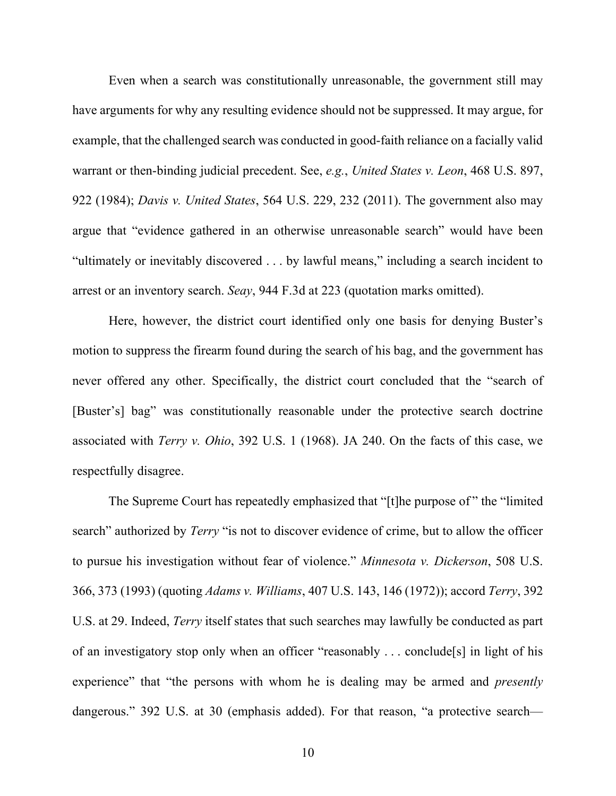Even when a search was constitutionally unreasonable, the government still may have arguments for why any resulting evidence should not be suppressed. It may argue, for example, that the challenged search was conducted in good-faith reliance on a facially valid warrant or then-binding judicial precedent. See, *e.g.*, *United States v. Leon*, 468 U.S. 897, 922 (1984); *Davis v. United States*, 564 U.S. 229, 232 (2011). The government also may argue that "evidence gathered in an otherwise unreasonable search" would have been "ultimately or inevitably discovered . . . by lawful means," including a search incident to arrest or an inventory search. *Seay*, 944 F.3d at 223 (quotation marks omitted).

Here, however, the district court identified only one basis for denying Buster's motion to suppress the firearm found during the search of his bag, and the government has never offered any other. Specifically, the district court concluded that the "search of [Buster's] bag" was constitutionally reasonable under the protective search doctrine associated with *Terry v. Ohio*, 392 U.S. 1 (1968). JA 240. On the facts of this case, we respectfully disagree.

The Supreme Court has repeatedly emphasized that "[t]he purpose of " the "limited search" authorized by *Terry* "is not to discover evidence of crime, but to allow the officer to pursue his investigation without fear of violence." *Minnesota v. Dickerson*, 508 U.S. 366, 373 (1993) (quoting *Adams v. Williams*, 407 U.S. 143, 146 (1972)); accord *Terry*, 392 U.S. at 29. Indeed, *Terry* itself states that such searches may lawfully be conducted as part of an investigatory stop only when an officer "reasonably . . . conclude[s] in light of his experience" that "the persons with whom he is dealing may be armed and *presently* dangerous." 392 U.S. at 30 (emphasis added). For that reason, "a protective search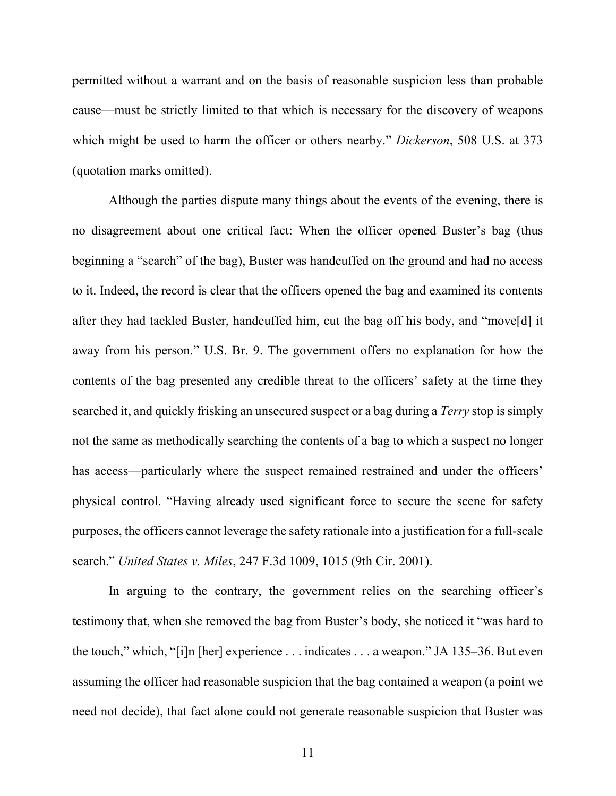permitted without a warrant and on the basis of reasonable suspicion less than probable cause—must be strictly limited to that which is necessary for the discovery of weapons which might be used to harm the officer or others nearby." *Dickerson*, 508 U.S. at 373 (quotation marks omitted).

Although the parties dispute many things about the events of the evening, there is no disagreement about one critical fact: When the officer opened Buster's bag (thus beginning a "search" of the bag), Buster was handcuffed on the ground and had no access to it. Indeed, the record is clear that the officers opened the bag and examined its contents after they had tackled Buster, handcuffed him, cut the bag off his body, and "move[d] it away from his person." U.S. Br. 9. The government offers no explanation for how the contents of the bag presented any credible threat to the officers' safety at the time they searched it, and quickly frisking an unsecured suspect or a bag during a *Terry* stop is simply not the same as methodically searching the contents of a bag to which a suspect no longer has access—particularly where the suspect remained restrained and under the officers' physical control. "Having already used significant force to secure the scene for safety purposes, the officers cannot leverage the safety rationale into a justification for a full-scale search." *United States v. Miles*, 247 F.3d 1009, 1015 (9th Cir. 2001).

In arguing to the contrary, the government relies on the searching officer's testimony that, when she removed the bag from Buster's body, she noticed it "was hard to the touch," which, "[i]n [her] experience . . . indicates . . . a weapon." JA 135–36. But even assuming the officer had reasonable suspicion that the bag contained a weapon (a point we need not decide), that fact alone could not generate reasonable suspicion that Buster was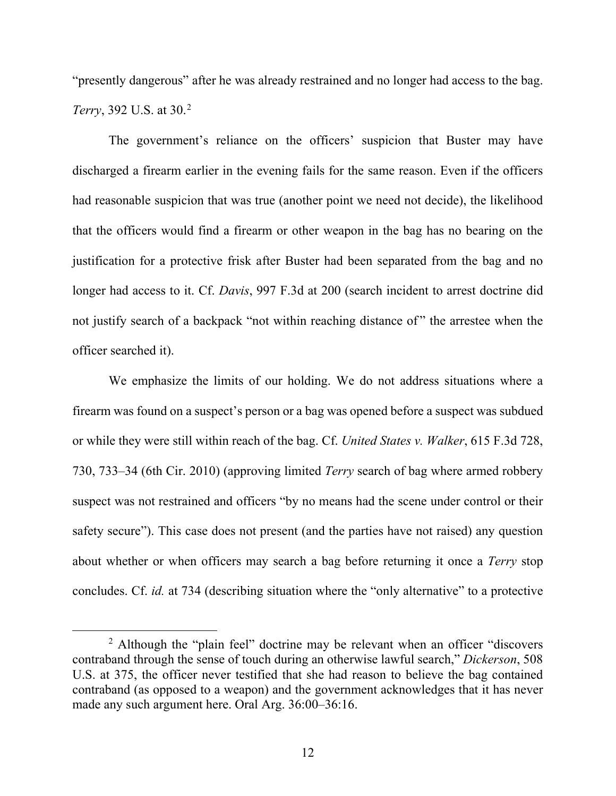"presently dangerous" after he was already restrained and no longer had access to the bag. *Terry*, 39[2](#page-11-0) U.S. at 30.<sup>2</sup>

The government's reliance on the officers' suspicion that Buster may have discharged a firearm earlier in the evening fails for the same reason. Even if the officers had reasonable suspicion that was true (another point we need not decide), the likelihood that the officers would find a firearm or other weapon in the bag has no bearing on the justification for a protective frisk after Buster had been separated from the bag and no longer had access to it. Cf. *Davis*, 997 F.3d at 200 (search incident to arrest doctrine did not justify search of a backpack "not within reaching distance of" the arrestee when the officer searched it).

We emphasize the limits of our holding. We do not address situations where a firearm was found on a suspect's person or a bag was opened before a suspect was subdued or while they were still within reach of the bag. Cf. *United States v. Walker*, 615 F.3d 728, 730, 733–34 (6th Cir. 2010) (approving limited *Terry* search of bag where armed robbery suspect was not restrained and officers "by no means had the scene under control or their safety secure"). This case does not present (and the parties have not raised) any question about whether or when officers may search a bag before returning it once a *Terry* stop concludes. Cf. *id.* at 734 (describing situation where the "only alternative" to a protective

<span id="page-11-0"></span><sup>&</sup>lt;sup>2</sup> Although the "plain feel" doctrine may be relevant when an officer "discovers contraband through the sense of touch during an otherwise lawful search," *Dickerson*, 508 U.S. at 375, the officer never testified that she had reason to believe the bag contained contraband (as opposed to a weapon) and the government acknowledges that it has never made any such argument here. Oral Arg. 36:00–36:16.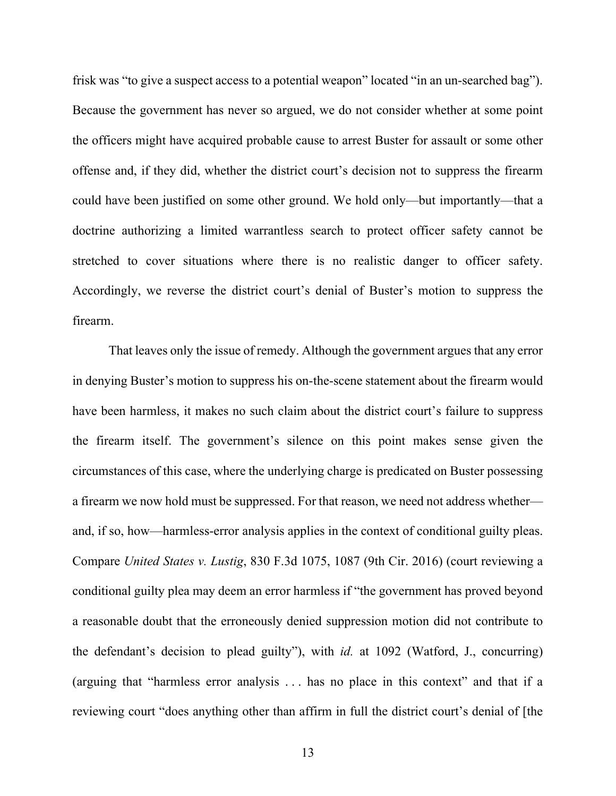frisk was "to give a suspect access to a potential weapon" located "in an un-searched bag"). Because the government has never so argued, we do not consider whether at some point the officers might have acquired probable cause to arrest Buster for assault or some other offense and, if they did, whether the district court's decision not to suppress the firearm could have been justified on some other ground. We hold only—but importantly—that a doctrine authorizing a limited warrantless search to protect officer safety cannot be stretched to cover situations where there is no realistic danger to officer safety. Accordingly, we reverse the district court's denial of Buster's motion to suppress the firearm.

That leaves only the issue of remedy. Although the government argues that any error in denying Buster's motion to suppress his on-the-scene statement about the firearm would have been harmless, it makes no such claim about the district court's failure to suppress the firearm itself. The government's silence on this point makes sense given the circumstances of this case, where the underlying charge is predicated on Buster possessing a firearm we now hold must be suppressed. For that reason, we need not address whether and, if so, how—harmless-error analysis applies in the context of conditional guilty pleas. Compare *United States v. Lustig*, 830 F.3d 1075, 1087 (9th Cir. 2016) (court reviewing a conditional guilty plea may deem an error harmless if "the government has proved beyond a reasonable doubt that the erroneously denied suppression motion did not contribute to the defendant's decision to plead guilty"), with *id.* at 1092 (Watford, J., concurring) (arguing that "harmless error analysis . . . has no place in this context" and that if a reviewing court "does anything other than affirm in full the district court's denial of [the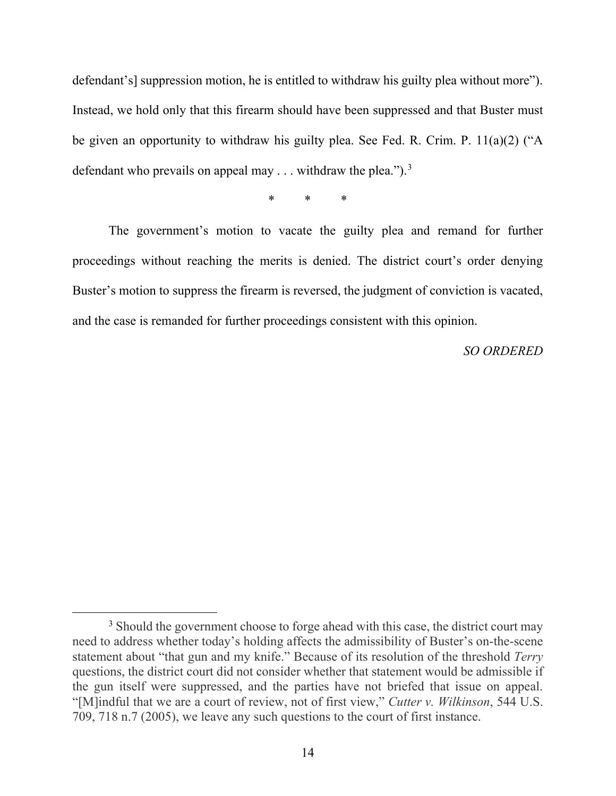defendant's] suppression motion, he is entitled to withdraw his guilty plea without more"). Instead, we hold only that this firearm should have been suppressed and that Buster must be given an opportunity to withdraw his guilty plea. See Fed. R. Crim. P. 11(a)(2) ("A defendant who prevails on appeal may  $\ldots$  withdraw the plea.").<sup>[3](#page-13-0)</sup>

\* \* \*

The government's motion to vacate the guilty plea and remand for further proceedings without reaching the merits is denied. The district court's order denying Buster's motion to suppress the firearm is reversed, the judgment of conviction is vacated, and the case is remanded for further proceedings consistent with this opinion.

*SO ORDERED*

<span id="page-13-0"></span><sup>&</sup>lt;sup>3</sup> Should the government choose to forge ahead with this case, the district court may need to address whether today's holding affects the admissibility of Buster's on-the-scene statement about "that gun and my knife." Because of its resolution of the threshold *Terry* questions, the district court did not consider whether that statement would be admissible if the gun itself were suppressed, and the parties have not briefed that issue on appeal. "[M]indful that we are a court of review, not of first view," *Cutter v. Wilkinson*, 544 U.S. 709, 718 n.7 (2005), we leave any such questions to the court of first instance.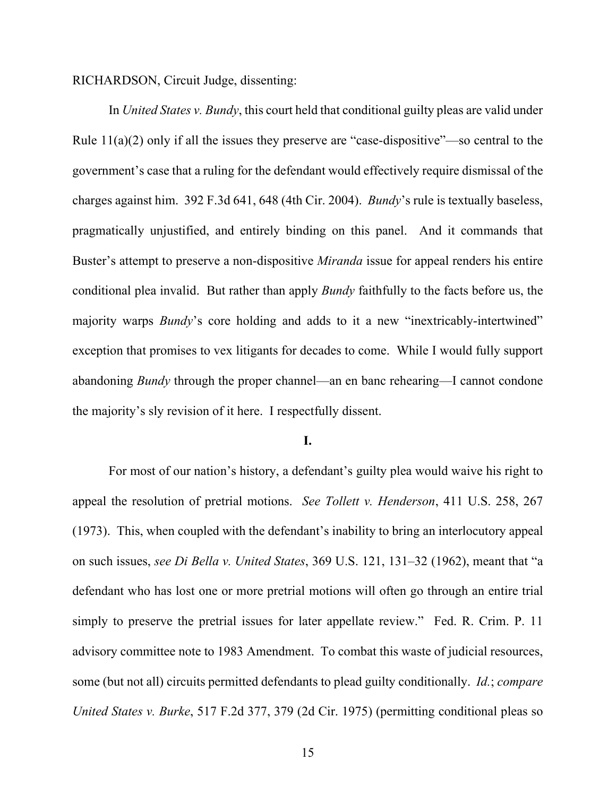RICHARDSON, Circuit Judge, dissenting:

In *United States v. Bundy*, this court held that conditional guilty pleas are valid under Rule 11(a)(2) only if all the issues they preserve are "case-dispositive"—so central to the government's case that a ruling for the defendant would effectively require dismissal of the charges against him. 392 F.3d 641, 648 (4th Cir. 2004). *Bundy*'s rule is textually baseless, pragmatically unjustified, and entirely binding on this panel. And it commands that Buster's attempt to preserve a non-dispositive *Miranda* issue for appeal renders his entire conditional plea invalid. But rather than apply *Bundy* faithfully to the facts before us, the majority warps *Bundy*'s core holding and adds to it a new "inextricably-intertwined" exception that promises to vex litigants for decades to come. While I would fully support abandoning *Bundy* through the proper channel—an en banc rehearing—I cannot condone the majority's sly revision of it here. I respectfully dissent.

### **I.**

For most of our nation's history, a defendant's guilty plea would waive his right to appeal the resolution of pretrial motions. *See Tollett v. Henderson*, 411 U.S. 258, 267 (1973). This, when coupled with the defendant's inability to bring an interlocutory appeal on such issues, *see Di Bella v. United States*, 369 U.S. 121, 131–32 (1962), meant that "a defendant who has lost one or more pretrial motions will often go through an entire trial simply to preserve the pretrial issues for later appellate review." Fed. R. Crim. P. 11 advisory committee note to 1983 Amendment. To combat this waste of judicial resources, some (but not all) circuits permitted defendants to plead guilty conditionally. *Id.*; *compare United States v. Burke*, 517 F.2d 377, 379 (2d Cir. 1975) (permitting conditional pleas so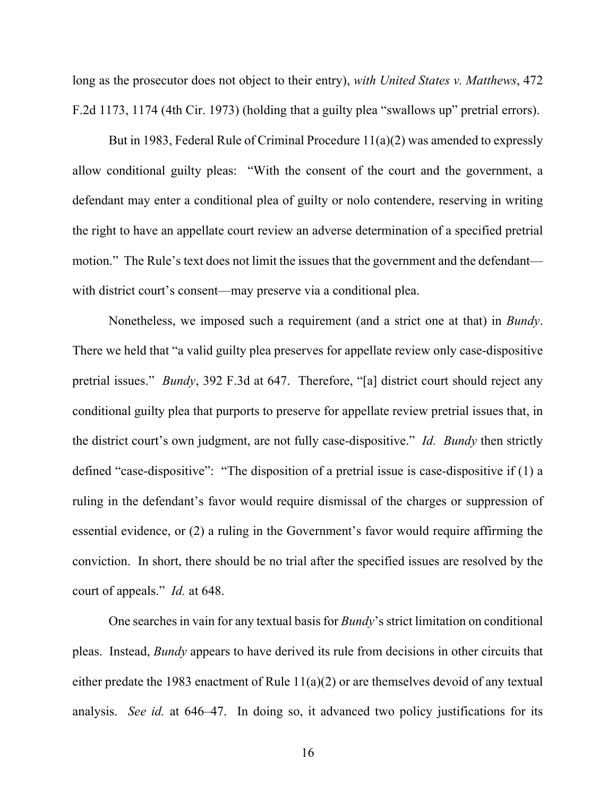long as the prosecutor does not object to their entry), *with United States v. Matthews*, 472 F.2d 1173, 1174 (4th Cir. 1973) (holding that a guilty plea "swallows up" pretrial errors).

But in 1983, Federal Rule of Criminal Procedure 11(a)(2) was amended to expressly allow conditional guilty pleas: "With the consent of the court and the government, a defendant may enter a conditional plea of guilty or nolo contendere, reserving in writing the right to have an appellate court review an adverse determination of a specified pretrial motion." The Rule's text does not limit the issues that the government and the defendant with district court's consent—may preserve via a conditional plea.

Nonetheless, we imposed such a requirement (and a strict one at that) in *Bundy*. There we held that "a valid guilty plea preserves for appellate review only case-dispositive pretrial issues." *Bundy*, 392 F.3d at 647. Therefore, "[a] district court should reject any conditional guilty plea that purports to preserve for appellate review pretrial issues that, in the district court's own judgment, are not fully case-dispositive." *Id. Bundy* then strictly defined "case-dispositive": "The disposition of a pretrial issue is case-dispositive if (1) a ruling in the defendant's favor would require dismissal of the charges or suppression of essential evidence, or (2) a ruling in the Government's favor would require affirming the conviction. In short, there should be no trial after the specified issues are resolved by the court of appeals." *Id.* at 648.

One searches in vain for any textual basis for *Bundy*'s strict limitation on conditional pleas. Instead, *Bundy* appears to have derived its rule from decisions in other circuits that either predate the 1983 enactment of Rule 11(a)(2) or are themselves devoid of any textual analysis. *See id.* at 646–47. In doing so, it advanced two policy justifications for its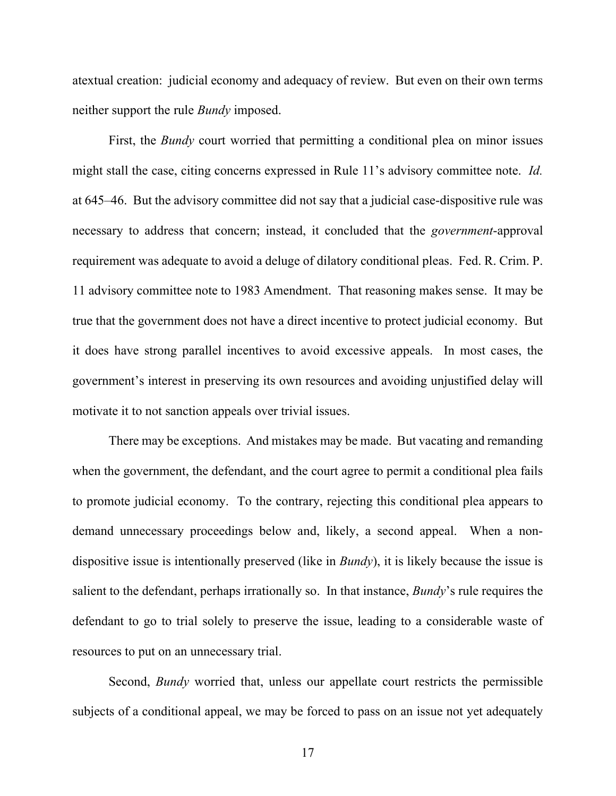atextual creation: judicial economy and adequacy of review. But even on their own terms neither support the rule *Bundy* imposed.

First, the *Bundy* court worried that permitting a conditional plea on minor issues might stall the case, citing concerns expressed in Rule 11's advisory committee note. *Id.* at 645–46. But the advisory committee did not say that a judicial case-dispositive rule was necessary to address that concern; instead, it concluded that the *government*-approval requirement was adequate to avoid a deluge of dilatory conditional pleas. Fed. R. Crim. P. 11 advisory committee note to 1983 Amendment. That reasoning makes sense. It may be true that the government does not have a direct incentive to protect judicial economy. But it does have strong parallel incentives to avoid excessive appeals. In most cases, the government's interest in preserving its own resources and avoiding unjustified delay will motivate it to not sanction appeals over trivial issues.

There may be exceptions. And mistakes may be made. But vacating and remanding when the government, the defendant, and the court agree to permit a conditional plea fails to promote judicial economy. To the contrary, rejecting this conditional plea appears to demand unnecessary proceedings below and, likely, a second appeal. When a nondispositive issue is intentionally preserved (like in *Bundy*), it is likely because the issue is salient to the defendant, perhaps irrationally so. In that instance, *Bundy*'s rule requires the defendant to go to trial solely to preserve the issue, leading to a considerable waste of resources to put on an unnecessary trial.

Second, *Bundy* worried that, unless our appellate court restricts the permissible subjects of a conditional appeal, we may be forced to pass on an issue not yet adequately

17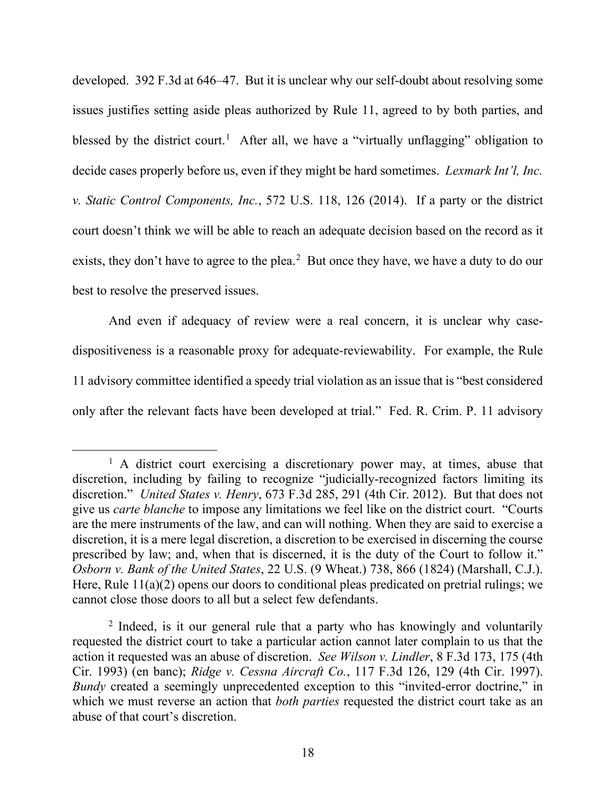developed. 392 F.3d at 646–47. But it is unclear why our self-doubt about resolving some issues justifies setting aside pleas authorized by Rule 11, agreed to by both parties, and blessed by the district court.<sup>[1](#page-17-0)</sup> After all, we have a "virtually unflagging" obligation to decide cases properly before us, even if they might be hard sometimes. *Lexmark Int'l, Inc. v. Static Control Components, Inc.*, 572 U.S. 118, 126 (2014).If a party or the district court doesn't think we will be able to reach an adequate decision based on the record as it exists, they don't have to agree to the plea. $<sup>2</sup>$  $<sup>2</sup>$  $<sup>2</sup>$  But once they have, we have a duty to do our</sup> best to resolve the preserved issues.

And even if adequacy of review were a real concern, it is unclear why casedispositiveness is a reasonable proxy for adequate-reviewability. For example, the Rule 11 advisory committee identified a speedy trial violation as an issue that is "best considered only after the relevant facts have been developed at trial." Fed. R. Crim. P. 11 advisory

<span id="page-17-0"></span> $<sup>1</sup>$  A district court exercising a discretionary power may, at times, abuse that</sup> discretion, including by failing to recognize "judicially-recognized factors limiting its discretion." *United States v. Henry*, 673 F.3d 285, 291 (4th Cir. 2012). But that does not give us *carte blanche* to impose any limitations we feel like on the district court. "Courts are the mere instruments of the law, and can will nothing. When they are said to exercise a discretion, it is a mere legal discretion, a discretion to be exercised in discerning the course prescribed by law; and, when that is discerned, it is the duty of the Court to follow it." *Osborn v. Bank of the United States*, 22 U.S. (9 Wheat.) 738, 866 (1824) (Marshall, C.J.). Here, Rule 11(a)(2) opens our doors to conditional pleas predicated on pretrial rulings; we cannot close those doors to all but a select few defendants.

<span id="page-17-1"></span><sup>&</sup>lt;sup>2</sup> Indeed, is it our general rule that a party who has knowingly and voluntarily requested the district court to take a particular action cannot later complain to us that the action it requested was an abuse of discretion. *See Wilson v. Lindler*, 8 F.3d 173, 175 (4th Cir. 1993) (en banc); *Ridge v. Cessna Aircraft Co.*, 117 F.3d 126, 129 (4th Cir. 1997). *Bundy* created a seemingly unprecedented exception to this "invited-error doctrine," in which we must reverse an action that *both parties* requested the district court take as an abuse of that court's discretion.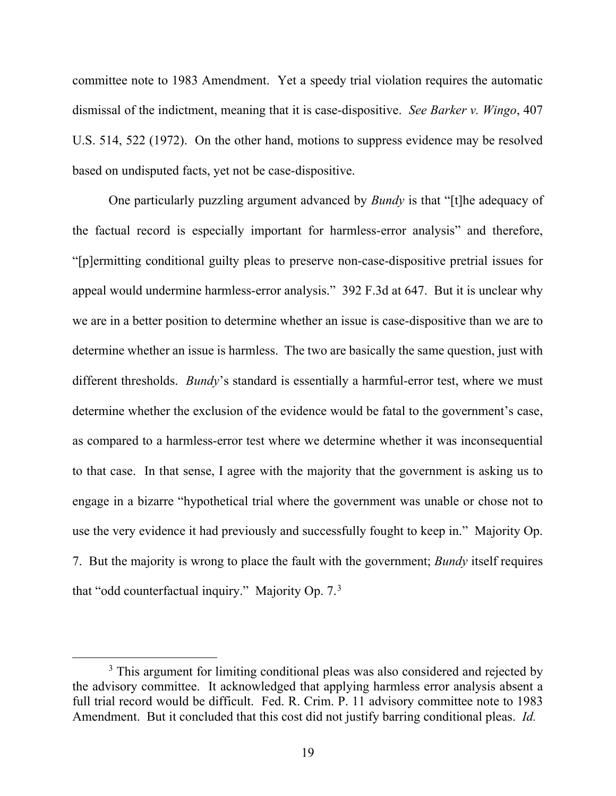committee note to 1983 Amendment. Yet a speedy trial violation requires the automatic dismissal of the indictment, meaning that it is case-dispositive. *See Barker v. Wingo*, 407 U.S. 514, 522 (1972). On the other hand, motions to suppress evidence may be resolved based on undisputed facts, yet not be case-dispositive.

One particularly puzzling argument advanced by *Bundy* is that "[t]he adequacy of the factual record is especially important for harmless-error analysis" and therefore, "[p]ermitting conditional guilty pleas to preserve non-case-dispositive pretrial issues for appeal would undermine harmless-error analysis." 392 F.3d at 647. But it is unclear why we are in a better position to determine whether an issue is case-dispositive than we are to determine whether an issue is harmless. The two are basically the same question, just with different thresholds. *Bundy*'s standard is essentially a harmful-error test, where we must determine whether the exclusion of the evidence would be fatal to the government's case, as compared to a harmless-error test where we determine whether it was inconsequential to that case. In that sense, I agree with the majority that the government is asking us to engage in a bizarre "hypothetical trial where the government was unable or chose not to use the very evidence it had previously and successfully fought to keep in." Majority Op. 7. But the majority is wrong to place the fault with the government; *Bundy* itself requires that "odd counterfactual inquiry." Majority Op.  $7<sup>3</sup>$  $7<sup>3</sup>$  $7<sup>3</sup>$ 

<span id="page-18-0"></span><sup>&</sup>lt;sup>3</sup> This argument for limiting conditional pleas was also considered and rejected by the advisory committee. It acknowledged that applying harmless error analysis absent a full trial record would be difficult. Fed. R. Crim. P. 11 advisory committee note to 1983 Amendment. But it concluded that this cost did not justify barring conditional pleas. *Id.*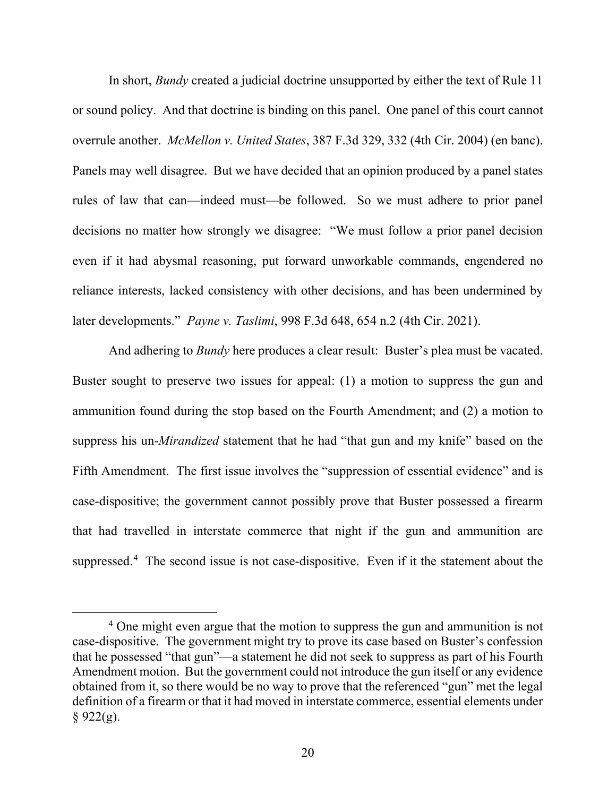In short, *Bundy* created a judicial doctrine unsupported by either the text of Rule 11 or sound policy. And that doctrine is binding on this panel. One panel of this court cannot overrule another. *McMellon v. United States*, 387 F.3d 329, 332 (4th Cir. 2004) (en banc). Panels may well disagree. But we have decided that an opinion produced by a panel states rules of law that can—indeed must—be followed. So we must adhere to prior panel decisions no matter how strongly we disagree: "We must follow a prior panel decision even if it had abysmal reasoning, put forward unworkable commands, engendered no reliance interests, lacked consistency with other decisions, and has been undermined by later developments." *Payne v. Taslimi*, 998 F.3d 648, 654 n.2 (4th Cir. 2021).

And adhering to *Bundy* here produces a clear result: Buster's plea must be vacated. Buster sought to preserve two issues for appeal: (1) a motion to suppress the gun and ammunition found during the stop based on the Fourth Amendment; and (2) a motion to suppress his un-*Mirandized* statement that he had "that gun and my knife" based on the Fifth Amendment. The first issue involves the "suppression of essential evidence" and is case-dispositive; the government cannot possibly prove that Buster possessed a firearm that had travelled in interstate commerce that night if the gun and ammunition are suppressed.<sup>[4](#page-19-0)</sup> The second issue is not case-dispositive. Even if it the statement about the

<span id="page-19-0"></span><sup>&</sup>lt;sup>4</sup> One might even argue that the motion to suppress the gun and ammunition is not case-dispositive. The government might try to prove its case based on Buster's confession that he possessed "that gun"—a statement he did not seek to suppress as part of his Fourth Amendment motion. But the government could not introduce the gun itself or any evidence obtained from it, so there would be no way to prove that the referenced "gun" met the legal definition of a firearm or that it had moved in interstate commerce, essential elements under  $§ 922(g).$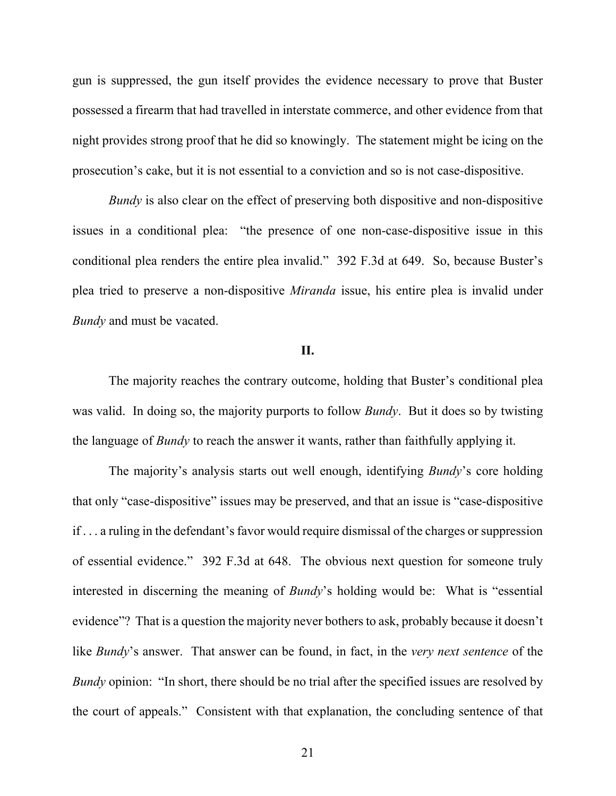gun is suppressed, the gun itself provides the evidence necessary to prove that Buster possessed a firearm that had travelled in interstate commerce, and other evidence from that night provides strong proof that he did so knowingly. The statement might be icing on the prosecution's cake, but it is not essential to a conviction and so is not case-dispositive.

*Bundy* is also clear on the effect of preserving both dispositive and non-dispositive issues in a conditional plea: "the presence of one non-case-dispositive issue in this conditional plea renders the entire plea invalid." 392 F.3d at 649. So, because Buster's plea tried to preserve a non-dispositive *Miranda* issue, his entire plea is invalid under *Bundy* and must be vacated.

# **II.**

The majority reaches the contrary outcome, holding that Buster's conditional plea was valid. In doing so, the majority purports to follow *Bundy*. But it does so by twisting the language of *Bundy* to reach the answer it wants, rather than faithfully applying it.

The majority's analysis starts out well enough, identifying *Bundy*'s core holding that only "case-dispositive" issues may be preserved, and that an issue is "case-dispositive if . . . a ruling in the defendant's favor would require dismissal of the charges or suppression of essential evidence." 392 F.3d at 648. The obvious next question for someone truly interested in discerning the meaning of *Bundy*'s holding would be: What is "essential evidence"? That is a question the majority never bothers to ask, probably because it doesn't like *Bundy*'s answer. That answer can be found, in fact, in the *very next sentence* of the *Bundy* opinion: "In short, there should be no trial after the specified issues are resolved by the court of appeals." Consistent with that explanation, the concluding sentence of that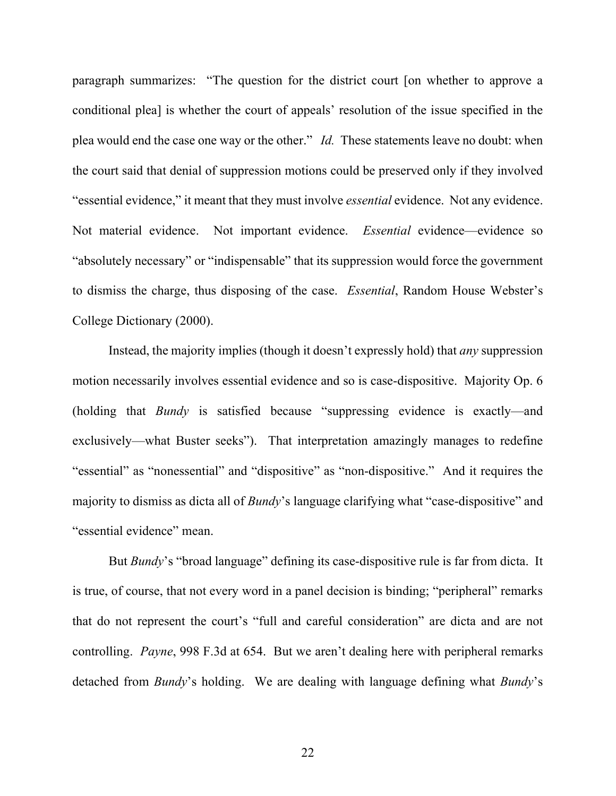paragraph summarizes: "The question for the district court [on whether to approve a conditional plea] is whether the court of appeals' resolution of the issue specified in the plea would end the case one way or the other." *Id.* These statements leave no doubt: when the court said that denial of suppression motions could be preserved only if they involved "essential evidence," it meant that they must involve *essential* evidence. Not any evidence. Not material evidence. Not important evidence. *Essential* evidence—evidence so "absolutely necessary" or "indispensable" that its suppression would force the government to dismiss the charge, thus disposing of the case. *Essential*, Random House Webster's College Dictionary (2000).

Instead, the majority implies (though it doesn't expressly hold) that *any* suppression motion necessarily involves essential evidence and so is case-dispositive. Majority Op. 6 (holding that *Bundy* is satisfied because "suppressing evidence is exactly—and exclusively—what Buster seeks"). That interpretation amazingly manages to redefine "essential" as "nonessential" and "dispositive" as "non-dispositive." And it requires the majority to dismiss as dicta all of *Bundy*'s language clarifying what "case-dispositive" and "essential evidence" mean.

But *Bundy*'s "broad language" defining its case-dispositive rule is far from dicta. It is true, of course, that not every word in a panel decision is binding; "peripheral" remarks that do not represent the court's "full and careful consideration" are dicta and are not controlling. *Payne*, 998 F.3d at 654. But we aren't dealing here with peripheral remarks detached from *Bundy*'s holding. We are dealing with language defining what *Bundy*'s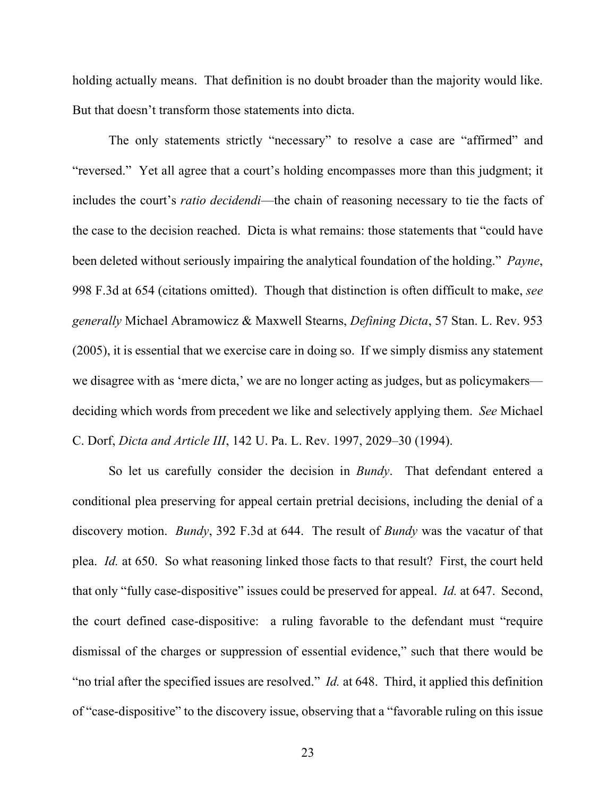holding actually means. That definition is no doubt broader than the majority would like. But that doesn't transform those statements into dicta.

The only statements strictly "necessary" to resolve a case are "affirmed" and "reversed." Yet all agree that a court's holding encompasses more than this judgment; it includes the court's *ratio decidendi*—the chain of reasoning necessary to tie the facts of the case to the decision reached. Dicta is what remains: those statements that "could have been deleted without seriously impairing the analytical foundation of the holding." *Payne*, 998 F.3d at 654 (citations omitted). Though that distinction is often difficult to make, *see generally* Michael Abramowicz & Maxwell Stearns, *Defining Dicta*, 57 Stan. L. Rev. 953 (2005), it is essential that we exercise care in doing so. If we simply dismiss any statement we disagree with as 'mere dicta,' we are no longer acting as judges, but as policymakers deciding which words from precedent we like and selectively applying them. *See* Michael C. Dorf, *Dicta and Article III*, 142 U. Pa. L. Rev. 1997, 2029–30 (1994).

So let us carefully consider the decision in *Bundy*. That defendant entered a conditional plea preserving for appeal certain pretrial decisions, including the denial of a discovery motion. *Bundy*, 392 F.3d at 644. The result of *Bundy* was the vacatur of that plea. *Id.* at 650. So what reasoning linked those facts to that result? First, the court held that only "fully case-dispositive" issues could be preserved for appeal. *Id.* at 647. Second, the court defined case-dispositive: a ruling favorable to the defendant must "require dismissal of the charges or suppression of essential evidence," such that there would be "no trial after the specified issues are resolved." *Id.* at 648. Third, it applied this definition of "case-dispositive" to the discovery issue, observing that a "favorable ruling on this issue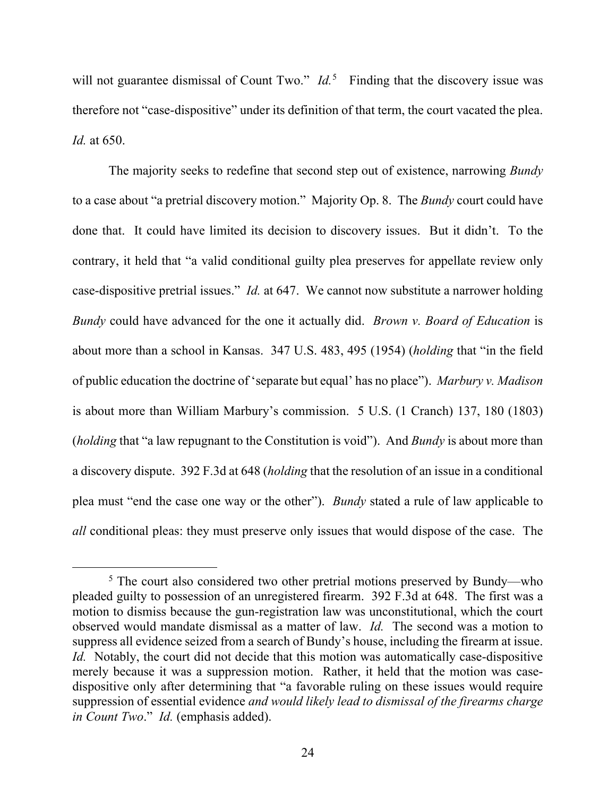will not guarantee dismissal of Count Two." *Id.*<sup>[5](#page-23-0)</sup> Finding that the discovery issue was therefore not "case-dispositive" under its definition of that term, the court vacated the plea. *Id.* at 650.

The majority seeks to redefine that second step out of existence, narrowing *Bundy*  to a case about "a pretrial discovery motion." Majority Op. 8. The *Bundy* court could have done that. It could have limited its decision to discovery issues. But it didn't. To the contrary, it held that "a valid conditional guilty plea preserves for appellate review only case-dispositive pretrial issues." *Id.* at 647. We cannot now substitute a narrower holding *Bundy* could have advanced for the one it actually did. *Brown v. Board of Education* is about more than a school in Kansas. 347 U.S. 483, 495 (1954) (*holding* that "in the field of public education the doctrine of 'separate but equal' has no place"). *Marbury v. Madison*  is about more than William Marbury's commission. 5 U.S. (1 Cranch) 137, 180 (1803) (*holding* that "a law repugnant to the Constitution is void"). And *Bundy* is about more than a discovery dispute. 392 F.3d at 648 (*holding* that the resolution of an issue in a conditional plea must "end the case one way or the other"). *Bundy* stated a rule of law applicable to *all* conditional pleas: they must preserve only issues that would dispose of the case. The

<span id="page-23-0"></span><sup>&</sup>lt;sup>5</sup> The court also considered two other pretrial motions preserved by Bundy—who pleaded guilty to possession of an unregistered firearm. 392 F.3d at 648. The first was a motion to dismiss because the gun-registration law was unconstitutional, which the court observed would mandate dismissal as a matter of law. *Id.* The second was a motion to suppress all evidence seized from a search of Bundy's house, including the firearm at issue. *Id.* Notably, the court did not decide that this motion was automatically case-dispositive merely because it was a suppression motion. Rather, it held that the motion was casedispositive only after determining that "a favorable ruling on these issues would require suppression of essential evidence *and would likely lead to dismissal of the firearms charge in Count Two*." *Id.* (emphasis added).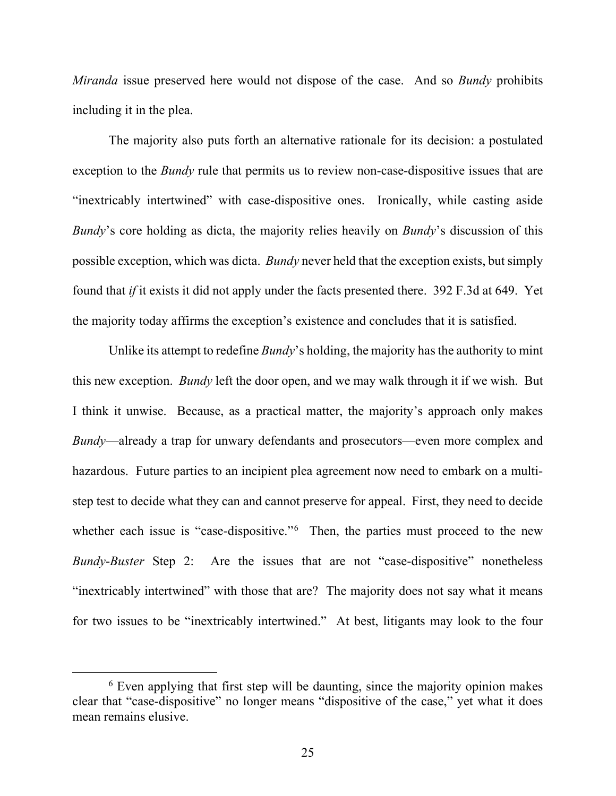*Miranda* issue preserved here would not dispose of the case. And so *Bundy* prohibits including it in the plea.

The majority also puts forth an alternative rationale for its decision: a postulated exception to the *Bundy* rule that permits us to review non-case-dispositive issues that are "inextricably intertwined" with case-dispositive ones. Ironically, while casting aside *Bundy*'s core holding as dicta, the majority relies heavily on *Bundy*'s discussion of this possible exception, which was dicta. *Bundy* never held that the exception exists, but simply found that *if* it exists it did not apply under the facts presented there. 392 F.3d at 649. Yet the majority today affirms the exception's existence and concludes that it is satisfied.

Unlike its attempt to redefine *Bundy*'s holding, the majority has the authority to mint this new exception. *Bundy* left the door open, and we may walk through it if we wish. But I think it unwise. Because, as a practical matter, the majority's approach only makes *Bundy*—already a trap for unwary defendants and prosecutors—even more complex and hazardous. Future parties to an incipient plea agreement now need to embark on a multistep test to decide what they can and cannot preserve for appeal. First, they need to decide whether each issue is "case-dispositive."<sup>[6](#page-24-0)</sup> Then, the parties must proceed to the new *Bundy*-*Buster* Step 2: Are the issues that are not "case-dispositive" nonetheless "inextricably intertwined" with those that are? The majority does not say what it means for two issues to be "inextricably intertwined." At best, litigants may look to the four

<span id="page-24-0"></span> $6$  Even applying that first step will be daunting, since the majority opinion makes clear that "case-dispositive" no longer means "dispositive of the case," yet what it does mean remains elusive.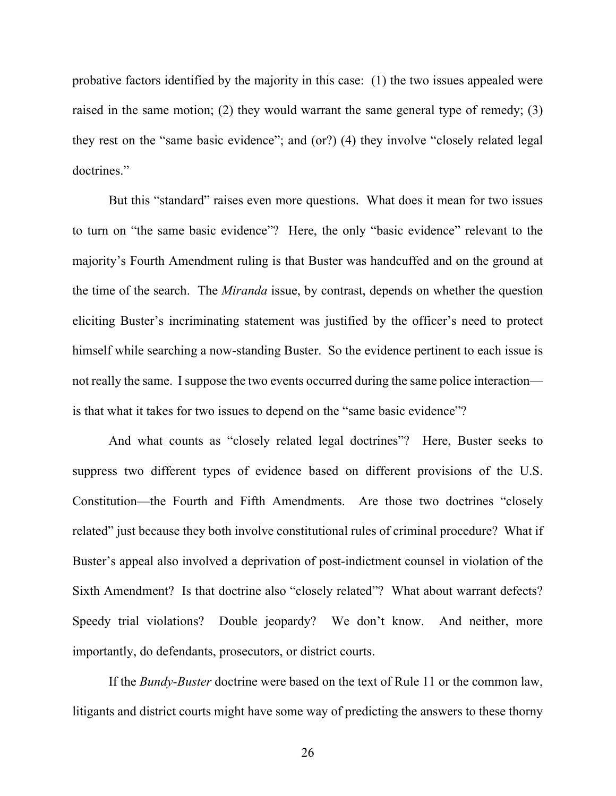probative factors identified by the majority in this case: (1) the two issues appealed were raised in the same motion; (2) they would warrant the same general type of remedy; (3) they rest on the "same basic evidence"; and (or?) (4) they involve "closely related legal doctrines."

But this "standard" raises even more questions. What does it mean for two issues to turn on "the same basic evidence"? Here, the only "basic evidence" relevant to the majority's Fourth Amendment ruling is that Buster was handcuffed and on the ground at the time of the search. The *Miranda* issue, by contrast, depends on whether the question eliciting Buster's incriminating statement was justified by the officer's need to protect himself while searching a now-standing Buster. So the evidence pertinent to each issue is not really the same. I suppose the two events occurred during the same police interaction is that what it takes for two issues to depend on the "same basic evidence"?

And what counts as "closely related legal doctrines"? Here, Buster seeks to suppress two different types of evidence based on different provisions of the U.S. Constitution—the Fourth and Fifth Amendments. Are those two doctrines "closely related" just because they both involve constitutional rules of criminal procedure? What if Buster's appeal also involved a deprivation of post-indictment counsel in violation of the Sixth Amendment? Is that doctrine also "closely related"? What about warrant defects? Speedy trial violations? Double jeopardy? We don't know. And neither, more importantly, do defendants, prosecutors, or district courts.

If the *Bundy*-*Buster* doctrine were based on the text of Rule 11 or the common law, litigants and district courts might have some way of predicting the answers to these thorny

26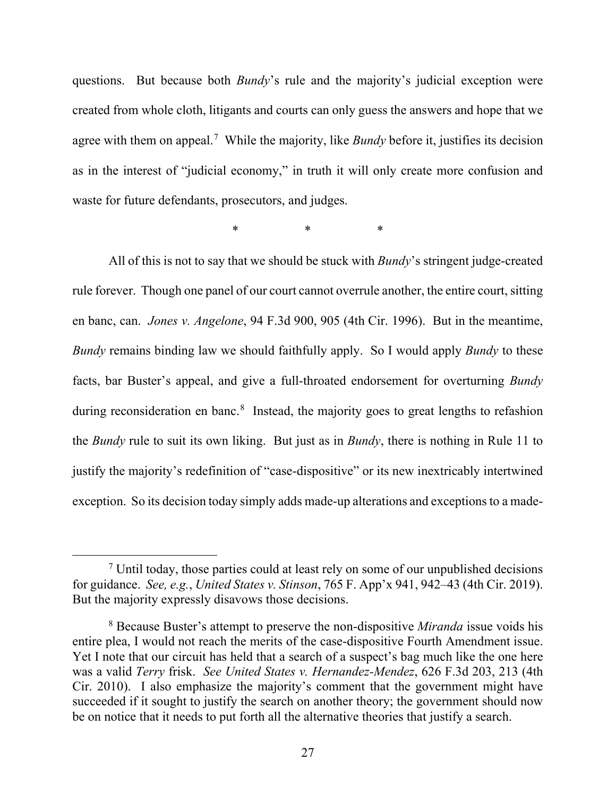questions. But because both *Bundy*'s rule and the majority's judicial exception were created from whole cloth, litigants and courts can only guess the answers and hope that we agree with them on appeal.<sup>[7](#page-26-0)</sup> While the majority, like *Bundy* before it, justifies its decision as in the interest of "judicial economy," in truth it will only create more confusion and waste for future defendants, prosecutors, and judges.

\* \* \* \*

All of this is not to say that we should be stuck with *Bundy*'s stringent judge-created rule forever. Though one panel of our court cannot overrule another, the entire court, sitting en banc, can. *Jones v. Angelone*, 94 F.3d 900, 905 (4th Cir. 1996). But in the meantime, *Bundy* remains binding law we should faithfully apply. So I would apply *Bundy* to these facts, bar Buster's appeal, and give a full-throated endorsement for overturning *Bundy*  during reconsideration en banc.<sup>[8](#page-26-1)</sup> Instead, the majority goes to great lengths to refashion the *Bundy* rule to suit its own liking. But just as in *Bundy*, there is nothing in Rule 11 to justify the majority's redefinition of "case-dispositive" or its new inextricably intertwined exception. So its decision today simply adds made-up alterations and exceptions to a made-

<span id="page-26-0"></span> $<sup>7</sup>$  Until today, those parties could at least rely on some of our unpublished decisions</sup> for guidance. *See, e.g.*, *United States v. Stinson*, 765 F. App'x 941, 942–43 (4th Cir. 2019). But the majority expressly disavows those decisions.

<span id="page-26-1"></span><sup>8</sup> Because Buster's attempt to preserve the non-dispositive *Miranda* issue voids his entire plea, I would not reach the merits of the case-dispositive Fourth Amendment issue. Yet I note that our circuit has held that a search of a suspect's bag much like the one here was a valid *Terry* frisk. *See United States v. Hernandez-Mendez*, 626 F.3d 203, 213 (4th Cir. 2010). I also emphasize the majority's comment that the government might have succeeded if it sought to justify the search on another theory; the government should now be on notice that it needs to put forth all the alternative theories that justify a search.